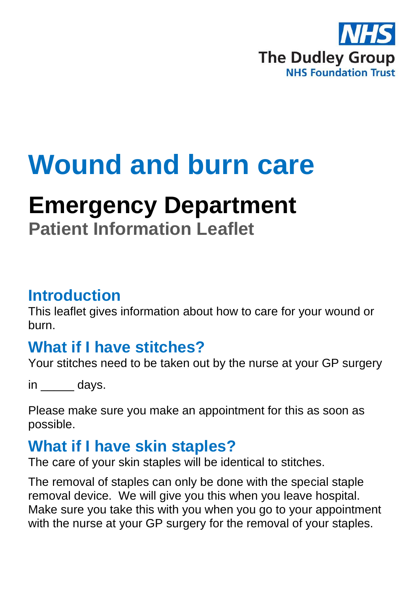

# **Wound and burn care**

## **Emergency Department**

**Patient Information Leaflet**

#### **Introduction**

This leaflet gives information about how to care for your wound or burn.

#### **What if I have stitches?**

Your stitches need to be taken out by the nurse at your GP surgery

in days.

Please make sure you make an appointment for this as soon as possible.

#### **What if I have skin staples?**

The care of your skin staples will be identical to stitches.

The removal of staples can only be done with the special staple removal device. We will give you this when you leave hospital. Make sure you take this with you when you go to your appointment with the nurse at your GP surgery for the removal of your staples.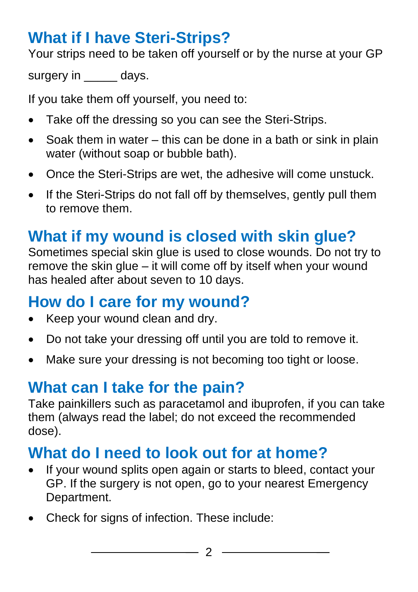### **What if I have Steri-Strips?**

Your strips need to be taken off yourself or by the nurse at your GP

surgery in days.

If you take them off yourself, you need to:

- Take off the dressing so you can see the Steri-Strips.
- Soak them in water  $-$  this can be done in a bath or sink in plain water (without soap or bubble bath).
- Once the Steri-Strips are wet, the adhesive will come unstuck.
- If the Steri-Strips do not fall off by themselves, gently pull them to remove them.

#### **What if my wound is closed with skin glue?**

Sometimes special skin glue is used to close wounds. Do not try to remove the skin glue – it will come off by itself when your wound has healed after about seven to 10 days.

#### **How do I care for my wound?**

- Keep your wound clean and dry.
- Do not take your dressing off until you are told to remove it.
- Make sure your dressing is not becoming too tight or loose.

## **What can I take for the pain?**

Take painkillers such as paracetamol and ibuprofen, if you can take them (always read the label; do not exceed the recommended dose).

#### **What do I need to look out for at home?**

- If your wound splits open again or starts to bleed, contact your GP. If the surgery is not open, go to your nearest Emergency Department.
- Check for signs of infection. These include: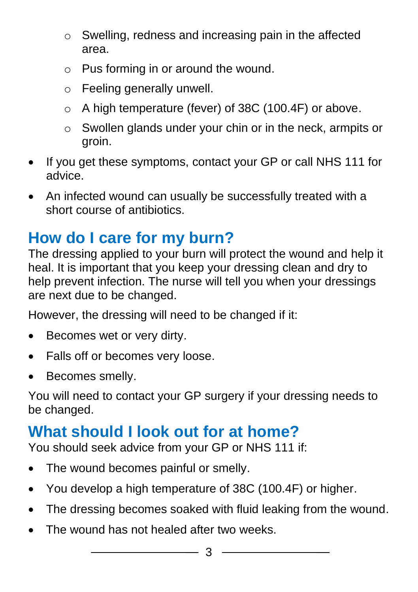- o Swelling, redness and increasing pain in the affected area.
- o Pus forming in or around the wound.
- o Feeling generally unwell.
- o A high temperature (fever) of 38C (100.4F) or above.
- o Swollen glands under your chin or in the neck, armpits or groin.
- If you get these symptoms, contact your GP or call NHS 111 for advice.
- An infected wound can usually be successfully treated with a short course of antibiotics.

#### **How do I care for my burn?**

The dressing applied to your burn will protect the wound and help it heal. It is important that you keep your dressing clean and dry to help prevent infection. The nurse will tell you when your dressings are next due to be changed.

However, the dressing will need to be changed if it:

- Becomes wet or very dirty.
- Falls off or becomes very loose.
- Becomes smelly.

You will need to contact your GP surgery if your dressing needs to be changed.

## **What should I look out for at home?**

You should seek advice from your GP or NHS 111 if:

- The wound becomes painful or smelly.
- You develop a high temperature of 38C (100.4F) or higher.
- The dressing becomes soaked with fluid leaking from the wound.
- The wound has not healed after two weeks.